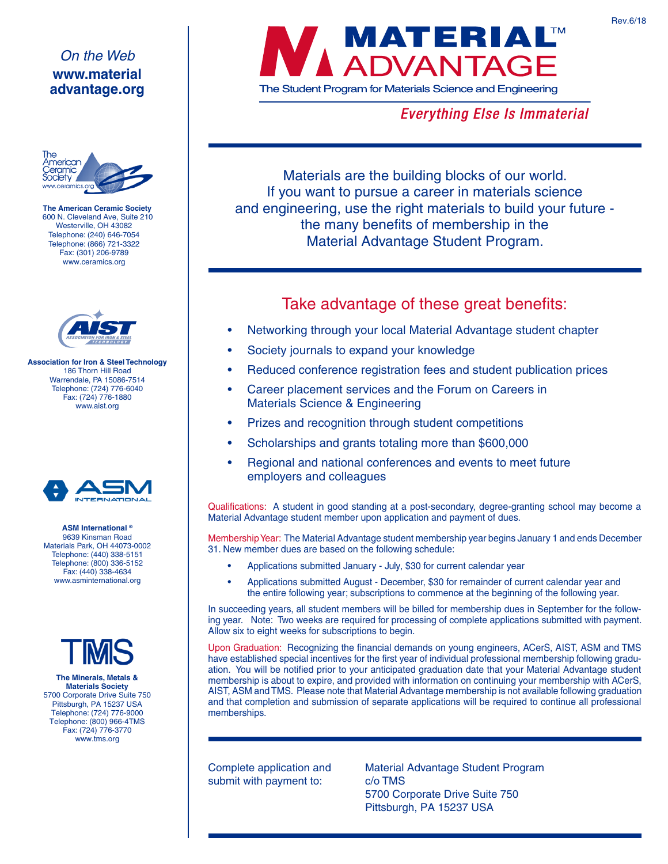## *On the Web* **www.material advantage.org**



**The American Ceramic Society** 600 N. Cleveland Ave, Suite 210 Westerville, OH 43082 Telephone: (240) 646-7054 Telephone: (866) 721-3322 Fax: (301) 206-9789 www.ceramics.org



**Association for Iron & Steel Technology** 186 Thorn Hill Road Warrendale, PA 15086-7514 Telephone: (724) 776-6040 Fax: (724) 776-1880 www.aist.org



**ASM International ®** 9639 Kinsman Road Materials Park, OH 44073-0002 Telephone: (440) 338-5151 Telephone: (800) 336-5152 Fax: (440) 338-4634 www.asminternational.org



**The Minerals, Metals & Materials Society** 5700 Corporate Drive Suite 750 Pittsburgh, PA 15237 USA Telephone: (724) 776-9000 Telephone: (800) 966-4TMS Fax: (724) 776-3770 www.tms.org



**Everything Else Is Immaterial** 

Materials are the building blocks of our world. If you want to pursue a career in materials science and engineering, use the right materials to build your future the many benefits of membership in the Material Advantage Student Program.

## Take advantage of these great benefits:

- Networking through your local Material Advantage student chapter
- Society journals to expand your knowledge
- Reduced conference registration fees and student publication prices
- Career placement services and the Forum on Careers in Materials Science & Engineering
- Prizes and recognition through student competitions
- Scholarships and grants totaling more than \$600,000
- Regional and national conferences and events to meet future employers and colleagues

Qualifications: A student in good standing at a post-secondary, degree-granting school may become a Material Advantage student member upon application and payment of dues.

Membership Year: The Material Advantage student membership year begins January 1 and ends December 31. New member dues are based on the following schedule:

- Applications submitted January July, \$30 for current calendar year
- Applications submitted August December, \$30 for remainder of current calendar year and the entire following year; subscriptions to commence at the beginning of the following year.

In succeeding years, all student members will be billed for membership dues in September for the following year. Note: Two weeks are required for processing of complete applications submitted with payment. Allow six to eight weeks for subscriptions to begin.

Upon Graduation: Recognizing the financial demands on young engineers, ACerS, AIST, ASM and TMS have established special incentives for the first year of individual professional membership following graduation. You will be notified prior to your anticipated graduation date that your Material Advantage student membership is about to expire, and provided with information on continuing your membership with ACerS, AIST, ASM and TMS. Please note that Material Advantage membership is not available following graduation and that completion and submission of separate applications will be required to continue all professional memberships.

Complete application and submit with payment to:

Material Advantage Student Program c/o TMS 5700 Corporate Drive Suite 750 Pittsburgh, PA 15237 USA